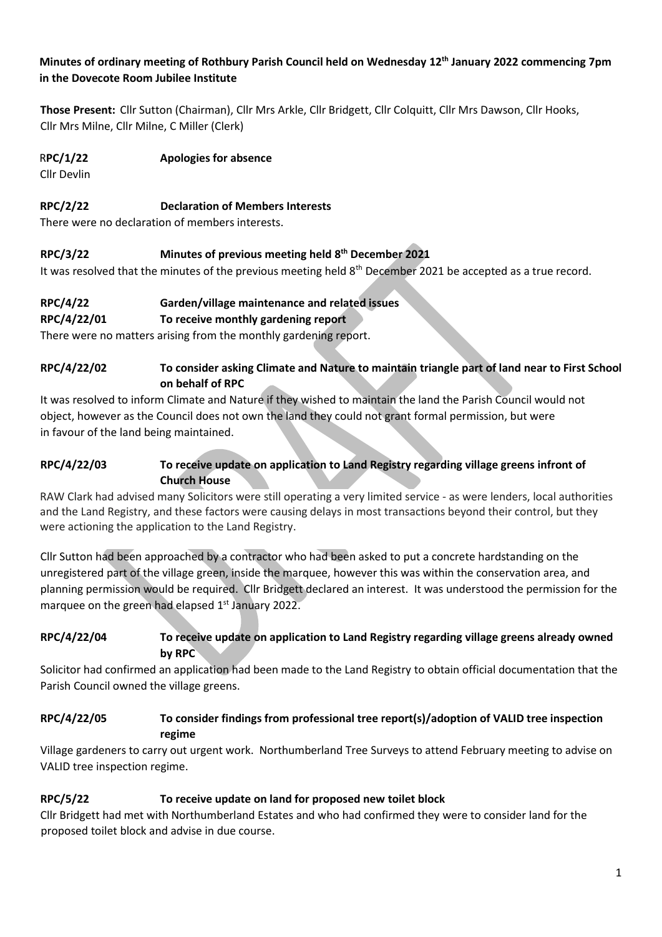## **Minutes of ordinary meeting of Rothbury Parish Council held on Wednesday 12th January 2022 commencing 7pm in the Dovecote Room Jubilee Institute**

**Those Present:** Cllr Sutton (Chairman), Cllr Mrs Arkle, Cllr Bridgett, Cllr Colquitt, Cllr Mrs Dawson, Cllr Hooks, Cllr Mrs Milne, Cllr Milne, C Miller (Clerk)

## R**PC/1/22 Apologies for absence**

Cllr Devlin

#### **RPC/2/22 Declaration of Members Interests**

There were no declaration of members interests.

#### **RPC/3/22 Minutes of previous meeting held 8 th December 2021**

It was resolved that the minutes of the previous meeting held 8<sup>th</sup> December 2021 be accepted as a true record.

# **RPC/4/22 Garden/village maintenance and related issues**

#### **RPC/4/22/01 To receive monthly gardening report**

There were no matters arising from the monthly gardening report.

#### **RPC/4/22/02 To consider asking Climate and Nature to maintain triangle part of land near to First School on behalf of RPC**

It was resolved to inform Climate and Nature if they wished to maintain the land the Parish Council would not object, however as the Council does not own the land they could not grant formal permission, but were in favour of the land being maintained.

## **RPC/4/22/03 To receive update on application to Land Registry regarding village greens infront of Church House**

RAW Clark had advised many Solicitors were still operating a very limited service - as were lenders, local authorities and the Land Registry, and these factors were causing delays in most transactions beyond their control, but they were actioning the application to the Land Registry.

Cllr Sutton had been approached by a contractor who had been asked to put a concrete hardstanding on the unregistered part of the village green, inside the marquee, however this was within the conservation area, and planning permission would be required. Cllr Bridgett declared an interest. It was understood the permission for the marquee on the green had elapsed 1<sup>st</sup> January 2022.

#### **RPC/4/22/04 To receive update on application to Land Registry regarding village greens already owned by RPC**

Solicitor had confirmed an application had been made to the Land Registry to obtain official documentation that the Parish Council owned the village greens.

## **RPC/4/22/05 To consider findings from professional tree report(s)/adoption of VALID tree inspection regime**

Village gardeners to carry out urgent work. Northumberland Tree Surveys to attend February meeting to advise on VALID tree inspection regime.

#### **RPC/5/22 To receive update on land for proposed new toilet block**

Cllr Bridgett had met with Northumberland Estates and who had confirmed they were to consider land for the proposed toilet block and advise in due course.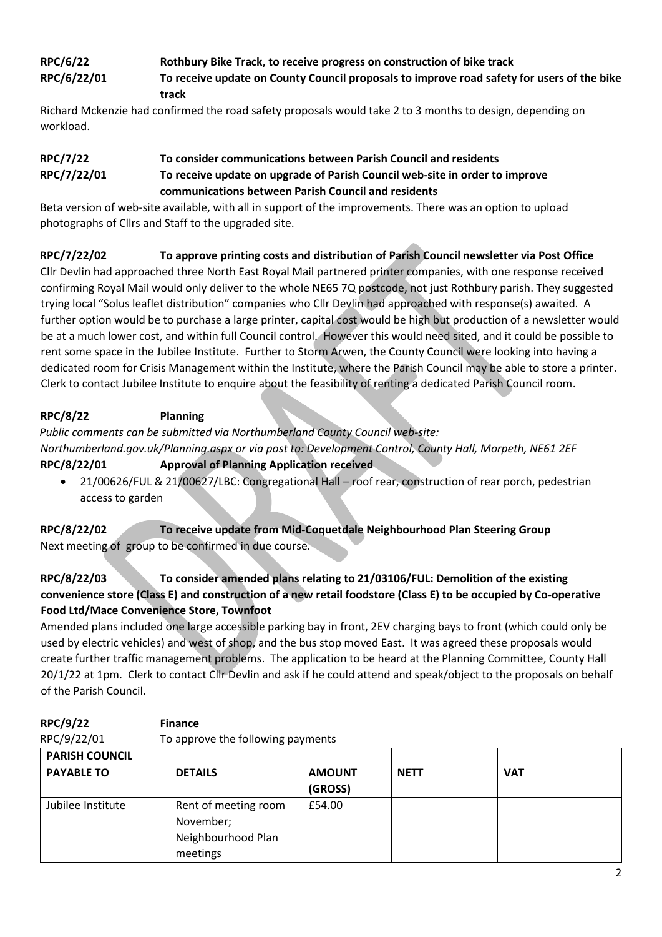# **RPC/6/22 Rothbury Bike Track, to receive progress on construction of bike track RPC/6/22/01 To receive update on County Council proposals to improve road safety for users of the bike track**

Richard Mckenzie had confirmed the road safety proposals would take 2 to 3 months to design, depending on workload.

# **RPC/7/22 To consider communications between Parish Council and residents RPC/7/22/01 To receive update on upgrade of Parish Council web-site in order to improve communications between Parish Council and residents**

Beta version of web-site available, with all in support of the improvements. There was an option to upload photographs of Cllrs and Staff to the upgraded site.

# **RPC/7/22/02 To approve printing costs and distribution of Parish Council newsletter via Post Office**

Cllr Devlin had approached three North East Royal Mail partnered printer companies, with one response received confirming Royal Mail would only deliver to the whole NE65 7Q postcode, not just Rothbury parish. They suggested trying local "Solus leaflet distribution" companies who Cllr Devlin had approached with response(s) awaited. A further option would be to purchase a large printer, capital cost would be high but production of a newsletter would be at a much lower cost, and within full Council control. However this would need sited, and it could be possible to rent some space in the Jubilee Institute. Further to Storm Arwen, the County Council were looking into having a dedicated room for Crisis Management within the Institute, where the Parish Council may be able to store a printer. Clerk to contact Jubilee Institute to enquire about the feasibility of renting a dedicated Parish Council room.

# **RPC/8/22 Planning**

*Public comments can be submitted via Northumberland County Council web-site:* 

*Northumberland.gov.uk/Planning.aspx or via post to: Development Control, County Hall, Morpeth, NE61 2EF* **RPC/8/22/01 Approval of Planning Application received**

• 21/00626/FUL & 21/00627/LBC: Congregational Hall – roof rear, construction of rear porch, pedestrian access to garden

**RPC/8/22/02 To receive update from Mid-Coquetdale Neighbourhood Plan Steering Group** Next meeting of group to be confirmed in due course.

# **RPC/8/22/03 To consider amended plans relating to 21/03106/FUL: Demolition of the existing convenience store (Class E) and construction of a new retail foodstore (Class E) to be occupied by Co-operative Food Ltd/Mace Convenience Store, Townfoot**

Amended plans included one large accessible parking bay in front, 2EV charging bays to front (which could only be used by electric vehicles) and west of shop, and the bus stop moved East. It was agreed these proposals would create further traffic management problems. The application to be heard at the Planning Committee, County Hall 20/1/22 at 1pm. Clerk to contact Cllr Devlin and ask if he could attend and speak/object to the proposals on behalf of the Parish Council.

| RPC/9/22/01           | To approve the following payments                                   |                          |             |            |  |  |  |
|-----------------------|---------------------------------------------------------------------|--------------------------|-------------|------------|--|--|--|
| <b>PARISH COUNCIL</b> |                                                                     |                          |             |            |  |  |  |
| <b>PAYABLE TO</b>     | <b>DETAILS</b>                                                      | <b>AMOUNT</b><br>(GROSS) | <b>NETT</b> | <b>VAT</b> |  |  |  |
| Jubilee Institute     | Rent of meeting room<br>November;<br>Neighbourhood Plan<br>meetings | £54.00                   |             |            |  |  |  |

# **RPC/9/22 Finance**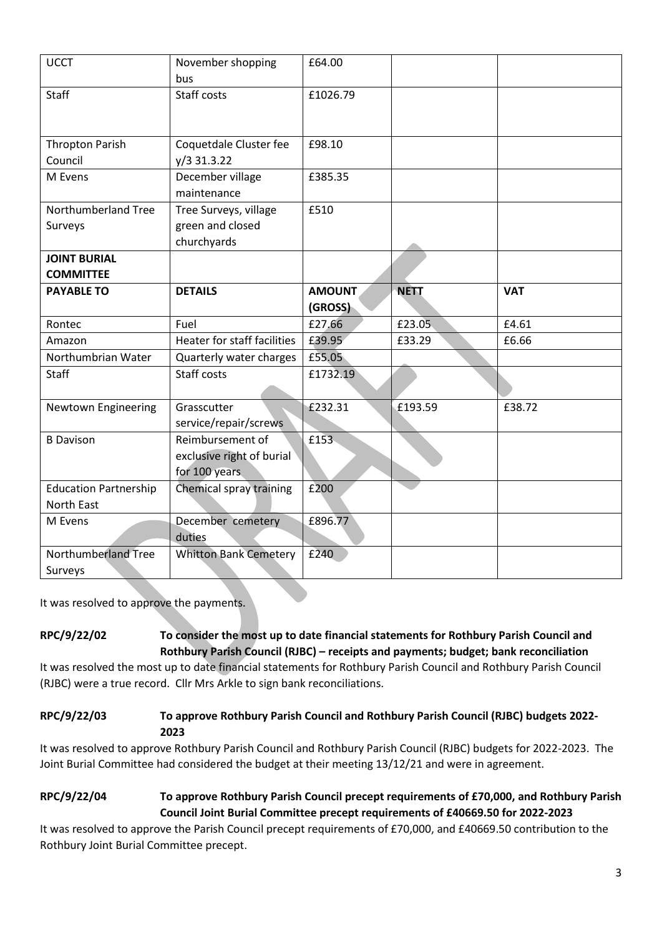| <b>UCCT</b>                             | November shopping<br>bus.                                      | £64.00                   |             |            |
|-----------------------------------------|----------------------------------------------------------------|--------------------------|-------------|------------|
| Staff                                   | Staff costs                                                    | £1026.79                 |             |            |
| <b>Thropton Parish</b><br>Council       | Coquetdale Cluster fee<br>$y/3$ 31.3.22                        | £98.10                   |             |            |
| M Evens                                 | December village<br>maintenance                                | £385.35                  |             |            |
| Northumberland Tree<br>Surveys          | Tree Surveys, village<br>green and closed<br>churchyards       | £510                     |             |            |
| <b>JOINT BURIAL</b><br><b>COMMITTEE</b> |                                                                |                          |             |            |
| <b>PAYABLE TO</b>                       | <b>DETAILS</b>                                                 | <b>AMOUNT</b><br>(GROSS) | <b>NETT</b> | <b>VAT</b> |
| Rontec                                  | Fuel                                                           | £27.66                   | £23.05      | £4.61      |
| Amazon                                  | Heater for staff facilities                                    | £39.95                   | £33.29      | £6.66      |
| Northumbrian Water                      | Quarterly water charges                                        | £55.05                   |             |            |
| Staff                                   | Staff costs                                                    | £1732.19                 |             |            |
| Newtown Engineering                     | Grasscutter<br>service/repair/screws                           | £232.31                  | £193.59     | £38.72     |
| <b>B</b> Davison                        | Reimbursement of<br>exclusive right of burial<br>for 100 years | £153                     |             |            |
| <b>Education Partnership</b>            | Chemical spray training                                        | £200                     |             |            |
| North East                              |                                                                |                          |             |            |
| M Evens                                 | December cemetery<br>duties                                    | £896.77                  |             |            |
| Northumberland Tree                     | <b>Whitton Bank Cemetery</b>                                   | £240                     |             |            |
| Surveys                                 |                                                                |                          |             |            |

It was resolved to approve the payments.

# **RPC/9/22/02 To consider the most up to date financial statements for Rothbury Parish Council and Rothbury Parish Council (RJBC) – receipts and payments; budget; bank reconciliation**

It was resolved the most up to date financial statements for Rothbury Parish Council and Rothbury Parish Council (RJBC) were a true record. Cllr Mrs Arkle to sign bank reconciliations.

## **RPC/9/22/03 To approve Rothbury Parish Council and Rothbury Parish Council (RJBC) budgets 2022- 2023**

It was resolved to approve Rothbury Parish Council and Rothbury Parish Council (RJBC) budgets for 2022-2023. The Joint Burial Committee had considered the budget at their meeting 13/12/21 and were in agreement.

# **RPC/9/22/04 To approve Rothbury Parish Council precept requirements of £70,000, and Rothbury Parish Council Joint Burial Committee precept requirements of £40669.50 for 2022-2023**

It was resolved to approve the Parish Council precept requirements of £70,000, and £40669.50 contribution to the Rothbury Joint Burial Committee precept.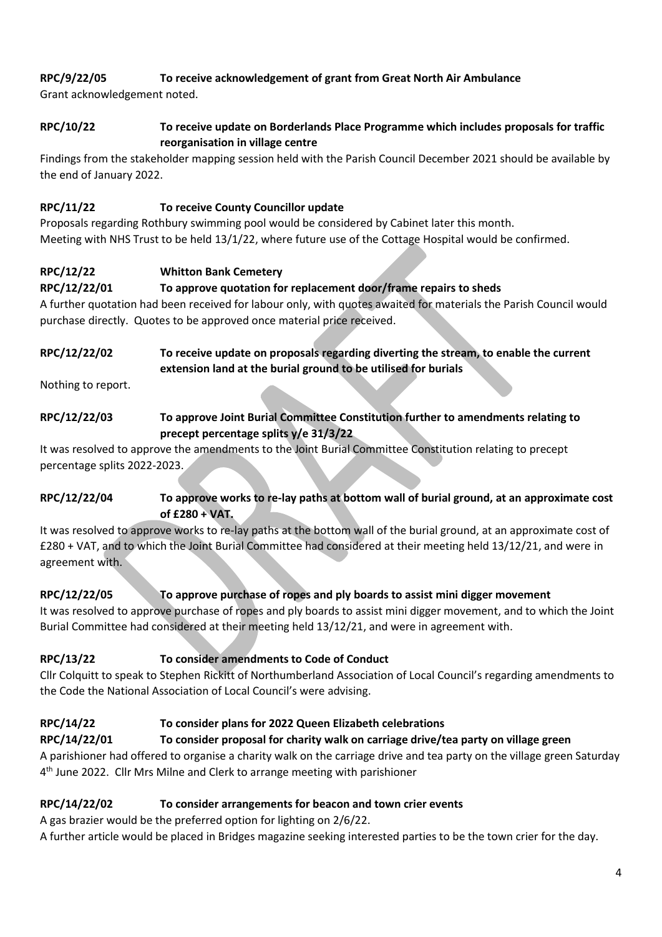# **RPC/9/22/05 To receive acknowledgement of grant from Great North Air Ambulance**

Grant acknowledgement noted.

## **RPC/10/22 To receive update on Borderlands Place Programme which includes proposals for traffic reorganisation in village centre**

Findings from the stakeholder mapping session held with the Parish Council December 2021 should be available by the end of January 2022.

# **RPC/11/22 To receive County Councillor update**

Proposals regarding Rothbury swimming pool would be considered by Cabinet later this month. Meeting with NHS Trust to be held 13/1/22, where future use of the Cottage Hospital would be confirmed.

# **RPC/12/22 Whitton Bank Cemetery**

## **RPC/12/22/01 To approve quotation for replacement door/frame repairs to sheds**

A further quotation had been received for labour only, with quotes awaited for materials the Parish Council would purchase directly. Quotes to be approved once material price received.

## **RPC/12/22/02 To receive update on proposals regarding diverting the stream, to enable the current extension land at the burial ground to be utilised for burials**

Nothing to report.

# **RPC/12/22/03 To approve Joint Burial Committee Constitution further to amendments relating to precept percentage splits y/e 31/3/22**

It was resolved to approve the amendments to the Joint Burial Committee Constitution relating to precept percentage splits 2022-2023.

# **RPC/12/22/04 To approve works to re-lay paths at bottom wall of burial ground, at an approximate cost of £280 + VAT.**

It was resolved to approve works to re-lay paths at the bottom wall of the burial ground, at an approximate cost of £280 + VAT, and to which the Joint Burial Committee had considered at their meeting held 13/12/21, and were in agreement with.

# **RPC/12/22/05 To approve purchase of ropes and ply boards to assist mini digger movement**

It was resolved to approve purchase of ropes and ply boards to assist mini digger movement, and to which the Joint Burial Committee had considered at their meeting held 13/12/21, and were in agreement with.

# **RPC/13/22 To consider amendments to Code of Conduct**

Cllr Colquitt to speak to Stephen Rickitt of Northumberland Association of Local Council's regarding amendments to the Code the National Association of Local Council's were advising.

# **RPC/14/22 To consider plans for 2022 Queen Elizabeth celebrations**

# **RPC/14/22/01 To consider proposal for charity walk on carriage drive/tea party on village green**

A parishioner had offered to organise a charity walk on the carriage drive and tea party on the village green Saturday 4<sup>th</sup> June 2022. Cllr Mrs Milne and Clerk to arrange meeting with parishioner

# **RPC/14/22/02 To consider arrangements for beacon and town crier events**

A gas brazier would be the preferred option for lighting on 2/6/22.

A further article would be placed in Bridges magazine seeking interested parties to be the town crier for the day.